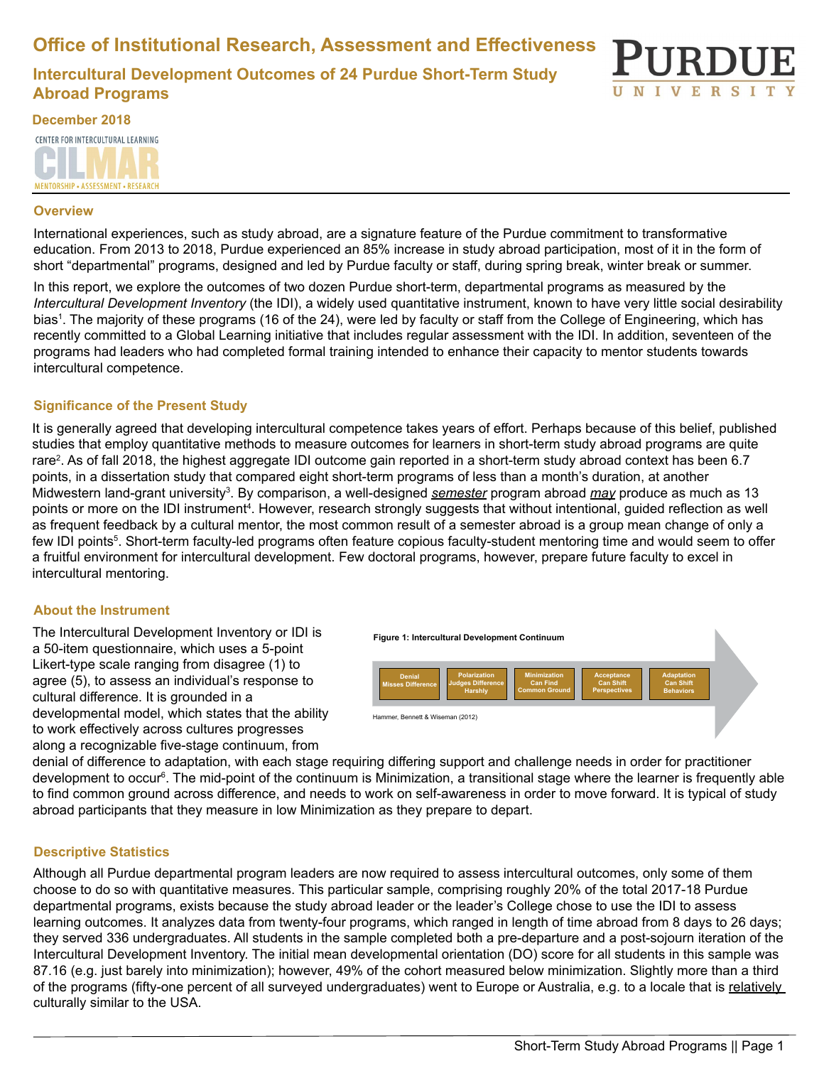**Office of Institutional Research, Assessment and Effectiveness**

**Intercultural Development Outcomes of 24 Purdue Short-Term Study Abroad Programs**



**December 2018** CENTER FOR INTERCULTURAL LEARNING MENTORSHIP - ASSESSMENT - RESEARCH

#### **Overview**

International experiences, such as study abroad, are a signature feature of the Purdue commitment to transformative education. From 2013 to 2018, Purdue experienced an 85% increase in study abroad participation, most of it in the form of short "departmental" programs, designed and led by Purdue faculty or staff, during spring break, winter break or summer.

In this report, we explore the outcomes of two dozen Purdue short-term, departmental programs as measured by the *Intercultural Development Inventory* (the IDI), a widely used quantitative instrument, known to have very little social desirability bias1 . The majority of these programs (16 of the 24), were led by faculty or staff from the College of Engineering, which has recently committed to a Global Learning initiative that includes regular assessment with the IDI. In addition, seventeen of the programs had leaders who had completed formal training intended to enhance their capacity to mentor students towards intercultural competence.

# **Significance of the Present Study**

It is generally agreed that developing intercultural competence takes years of effort. Perhaps because of this belief, published studies that employ quantitative methods to measure outcomes for learners in short-term study abroad programs are quite rare2 . As of fall 2018, the highest aggregate IDI outcome gain reported in a short-term study abroad context has been 6.7 points, in a dissertation study that compared eight short-term programs of less than a month's duration, at another Midwestern land-grant university<sup>s</sup>. By comparison, a well-designed <u>se*mester*</u> program abroad <u>*may* produce as much as 13</u> points or more on the IDI instrument<sup>4</sup>. However, research strongly suggests that without intentional, guided reflection as well as frequent feedback by a cultural mentor, the most common result of a semester abroad is a group mean change of only a few IDI points<sup>s</sup>. Short-term faculty-led programs often feature copious faculty-student mentoring time and would seem to offer a fruitful environment for intercultural development. Few doctoral programs, however, prepare future faculty to excel in intercultural mentoring.

## **About the Instrument**

The Intercultural Development Inventory or IDI is a 50-item questionnaire, which uses a 5-point Likert-type scale ranging from disagree (1) to agree (5), to assess an individual's response to cultural difference. It is grounded in a developmental model, which states that the ability to work effectively across cultures progresses along a recognizable five-stage continuum, from



denial of difference to adaptation, with each stage requiring differing support and challenge needs in order for practitioner development to occur<sup>e</sup>. The mid-point of the continuum is Minimization, a transitional stage where the learner is frequently able to find common ground across difference, and needs to work on self-awareness in order to move forward. It is typical of study abroad participants that they measure in low Minimization as they prepare to depart.

## **Descriptive Statistics**

Although all Purdue departmental program leaders are now required to assess intercultural outcomes, only some of them choose to do so with quantitative measures. This particular sample, comprising roughly 20% of the total 2017-18 Purdue departmental programs, exists because the study abroad leader or the leader's College chose to use the IDI to assess learning outcomes. It analyzes data from twenty-four programs, which ranged in length of time abroad from 8 days to 26 days; they served 336 undergraduates. All students in the sample completed both a pre-departure and a post-sojourn iteration of the Intercultural Development Inventory. The initial mean developmental orientation (DO) score for all students in this sample was 87.16 (e.g. just barely into minimization); however, 49% of the cohort measured below minimization. Slightly more than a third of the programs (fifty-one percent of all surveyed undergraduates) went to Europe or Australia, e.g. to a locale that is relatively culturally similar to the USA.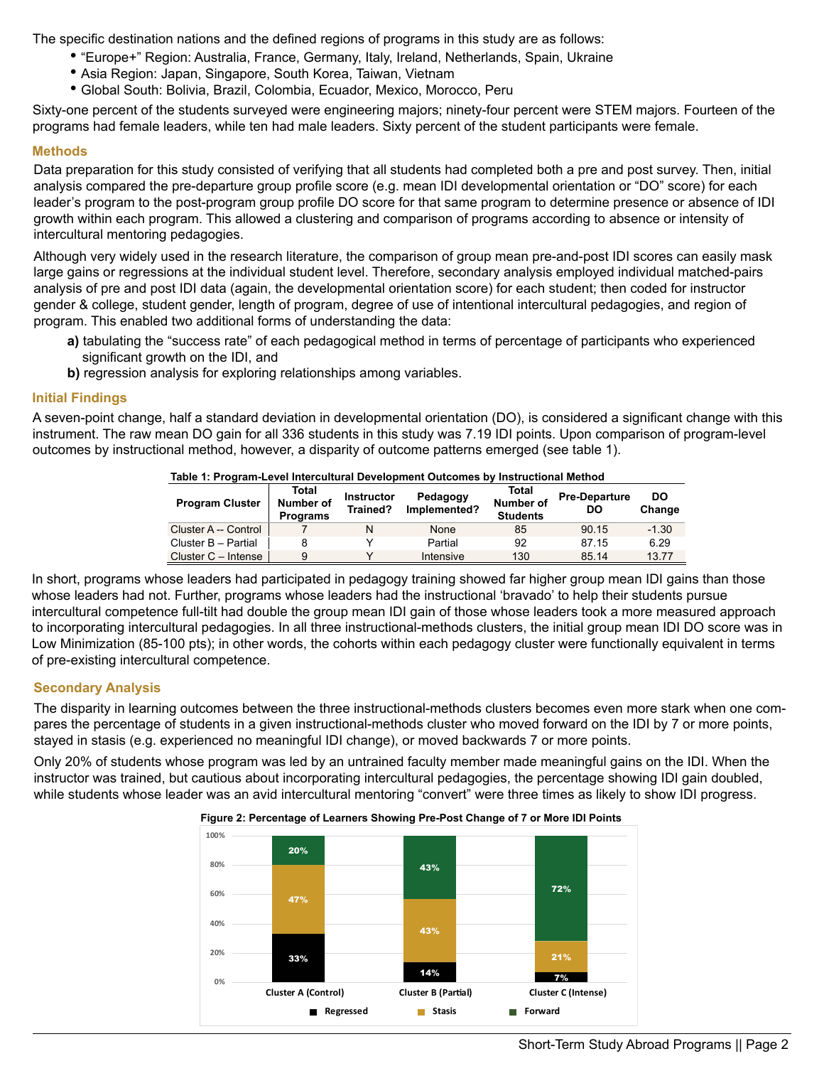The specific destination nations and the defined regions of programs in this study are as follows:

- "Europe+" Region: Australia, France, Germany, Italy, Ireland, Netherlands, Spain, Ukraine
- Asia Region: Japan, Singapore, South Korea, Taiwan, Vietnam
- Global South: Bolivia, Brazil, Colombia, Ecuador, Mexico, Morocco, Peru

Sixty-one percent of the students surveyed were engineering majors; ninety-four percent were STEM majors. Fourteen of the programs had female leaders, while ten had male leaders. Sixty percent of the student participants were female.

## **Methods**

Data preparation for this study consisted of verifying that all students had completed both a pre and post survey. Then, initial analysis compared the pre-departure group profile score (e.g. mean IDI developmental orientation or "DO" score) for each leader's program to the post-program group profile DO score for that same program to determine presence or absence of IDI growth within each program. This allowed a clustering and comparison of programs according to absence or intensity of intercultural mentoring pedagogies.

Although very widely used in the research literature, the comparison of group mean pre-and-post IDI scores can easily mask large gains or regressions at the individual student level. Therefore, secondary analysis employed individual matched-pairs analysis of pre and post IDI data (again, the developmental orientation score) for each student; then coded for instructor gender & college, student gender, length of program, degree of use of intentional intercultural pedagogies, and region of program. This enabled two additional forms of understanding the data:

- **a)** tabulating the "success rate" of each pedagogical method in terms of percentage of participants who experienced significant growth on the IDI, and
- **b)** regression analysis for exploring relationships among variables.

# **Initial Findings**

A seven-point change, half a standard deviation in developmental orientation (DO), is considered a significant change with this instrument. The raw mean DO gain for all 336 students in this study was 7.19 IDI points. Upon comparison of program-level outcomes by instructional method, however, a disparity of outcome patterns emerged (see table 1).

| Table 1: Program-Level Intercultural Development Outcomes by Instructional Method |                                       |                               |                          |                                              |                            |              |
|-----------------------------------------------------------------------------------|---------------------------------------|-------------------------------|--------------------------|----------------------------------------------|----------------------------|--------------|
| <b>Program Cluster</b>                                                            | Total<br>Number of<br><b>Programs</b> | <b>Instructor</b><br>Trained? | Pedagogy<br>Implemented? | Total<br><b>Number of</b><br><b>Students</b> | <b>Pre-Departure</b><br>DO | DO<br>Change |
| Cluster A -- Control                                                              |                                       |                               | None                     | 85                                           | 90.15                      | $-1.30$      |
| Cluster B - Partial                                                               | 8                                     |                               | Partial                  | 92                                           | 87.15                      | 6.29         |
| Cluster $C -$ Intense                                                             | 9                                     |                               | Intensive                | 130                                          | 85.14                      | 13.77        |

In short, programs whose leaders had participated in pedagogy training showed far higher group mean IDI gains than those whose leaders had not. Further, programs whose leaders had the instructional 'bravado' to help their students pursue intercultural competence full-tilt had double the group mean IDI gain of those whose leaders took a more measured approach to incorporating intercultural pedagogies. In all three instructional-methods clusters, the initial group mean IDI DO score was in Low Minimization (85-100 pts); in other words, the cohorts within each pedagogy cluster were functionally equivalent in terms of pre-existing intercultural competence.

# **Secondary Analysis**

The disparity in learning outcomes between the three instructional-methods clusters becomes even more stark when one compares the percentage of students in a given instructional-methods cluster who moved forward on the IDI by 7 or more points, stayed in stasis (e.g. experienced no meaningful IDI change), or moved backwards 7 or more points.

Only 20% of students whose program was led by an untrained faculty member made meaningful gains on the IDI. When the instructor was trained, but cautious about incorporating intercultural pedagogies, the percentage showing IDI gain doubled, while students whose leader was an avid intercultural mentoring "convert" were three times as likely to show IDI progress.